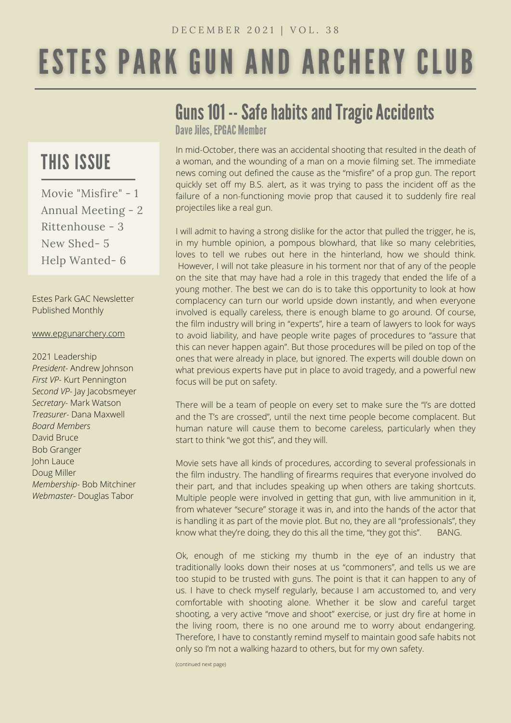# **ESTES PARK GUN AND ARCHERY CLUB**

## THIS ISSUE

Movie "Misfire" - 1 Annual Meeting - 2 Rittenhouse - 3 New Shed- 5 Help Wanted- 6

Estes Park GAC Newsletter Published Monthly

#### [www.epgunarchery.com](http://www.epgunarchery.com/)

2021 Leadership *President-* Andrew Johnson *First VP-* Kurt Pennington *Second VP-* Jay Jacobsmeyer *Secretary-* Mark Watson *Treasurer-* Dana Maxwell *Board Members* David Bruce Bob Granger John Lauce Doug Miller *Membership-* Bob Mitchiner *Webmaster-* Douglas Tabor

# Guns 101 -- Safe habits and Tragic Accidents

Dave Jiles, EPGAC Member

In mid-October, there was an accidental shooting that resulted in the death of a woman, and the wounding of a man on a movie filming set. The immediate news coming out defined the cause as the "misfire" of a prop gun. The report quickly set off my B.S. alert, as it was trying to pass the incident off as the failure of a non-functioning movie prop that caused it to suddenly fire real projectiles like a real gun.

I will admit to having a strong dislike for the actor that pulled the trigger, he is, in my humble opinion, a pompous blowhard, that like so many celebrities, loves to tell we rubes out here in the hinterland, how we should think. However, I will not take pleasure in his torment nor that of any of the people on the site that may have had a role in this tragedy that ended the life of a young mother. The best we can do is to take this opportunity to look at how complacency can turn our world upside down instantly, and when everyone involved is equally careless, there is enough blame to go around. Of course, the film industry will bring in "experts", hire a team of lawyers to look for ways to avoid liability, and have people write pages of procedures to "assure that this can never happen again". But those procedures will be piled on top of the ones that were already in place, but ignored. The experts will double down on what previous experts have put in place to avoid tragedy, and a powerful new focus will be put on safety.

There will be a team of people on every set to make sure the "I's are dotted and the T's are crossed", until the next time people become complacent. But human nature will cause them to become careless, particularly when they start to think "we got this", and they will.

Movie sets have all kinds of procedures, according to several professionals in the film industry. The handling of firearms requires that everyone involved do their part, and that includes speaking up when others are taking shortcuts. Multiple people were involved in getting that gun, with live ammunition in it, from whatever "secure" storage it was in, and into the hands of the actor that is handling it as part of the movie plot. But no, they are all "professionals", they know what they're doing, they do this all the time, "they got this". BANG.

Ok, enough of me sticking my thumb in the eye of an industry that traditionally looks down their noses at us "commoners", and tells us we are too stupid to be trusted with guns. The point is that it can happen to any of us. I have to check myself regularly, because I am accustomed to, and very comfortable with shooting alone. Whether it be slow and careful target shooting, a very active "move and shoot" exercise, or just dry fire at home in the living room, there is no one around me to worry about endangering. Therefore, I have to constantly remind myself to maintain good safe habits not only so I'm not a walking hazard to others, but for my own safety.

(continued next page)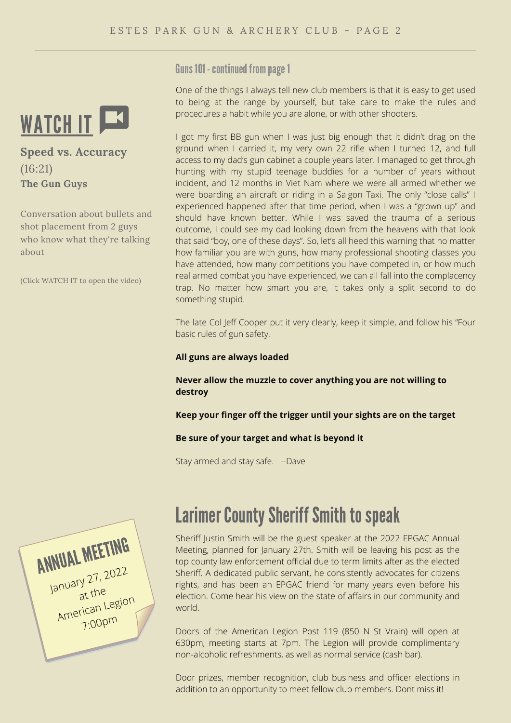

**Speed vs. Accuracy** (16:21) **The Gun Guys**

Conversation about bullets and shot placement from 2 guys who know what they're talking about

(Click WATCH IT to open the video)

Guns 101 - continued from page 1

One of the things I always tell new club members is that it is easy to get used to being at the range by yourself, but take care to make the rules and procedures a habit while you are alone, or with other shooters.

I got my first BB gun when I was just big enough that it didn't drag on the ground when I carried it, my very own 22 rifle when I turned 12, and full access to my dad's gun cabinet a couple years later. I managed to get through hunting with my stupid teenage buddies for a number of years without incident, and 12 months in Viet Nam where we were all armed whether we were boarding an aircraft or riding in a Saigon Taxi. The only "close calls" I experienced happened after that time period, when I was a "grown up" and should have known better. While I was saved the trauma of a serious outcome, I could see my dad looking down from the heavens with that look that said "boy, one of these days". So, let's all heed this warning that no matter how familiar you are with guns, how many professional shooting classes you have attended, how many competitions you have competed in, or how much real armed combat you have experienced, we can all fall into the complacency trap. No matter how smart you are, it takes only a split second to do something stupid.

The late Col Jeff Cooper put it very clearly, keep it simple, and follow his "Four basic rules of gun safety.

#### **All guns are always loaded**

**Never allow the muzzle to cover anything you are not willing to destroy**

**Keep your finger off the trigger until your sights are on the target**

#### **Be sure of your target and what is beyond it**

Stay armed and stay safe. --Dave



# **Larimer County Sheriff Smith to speak**

Sheriff Justin Smith will be the guest speaker at the 2022 EPGAC Annual Meeting, planned for January 27th. Smith will be leaving his post as the top county law enforcement official due to term limits after as the elected Sheriff. A dedicated public servant, he consistently advocates for citizens rights, and has been an EPGAC friend for many years even before his election. Come hear his view on the state of affairs in our community and world.

Doors of the American Legion Post 119 (850 N St Vrain) will open at 630pm, meeting starts at 7pm. The Legion will provide complimentary non-alcoholic refreshments, as well as normal service (cash bar).

Door prizes, member recognition, club business and officer elections in addition to an opportunity to meet fellow club members. Dont miss it!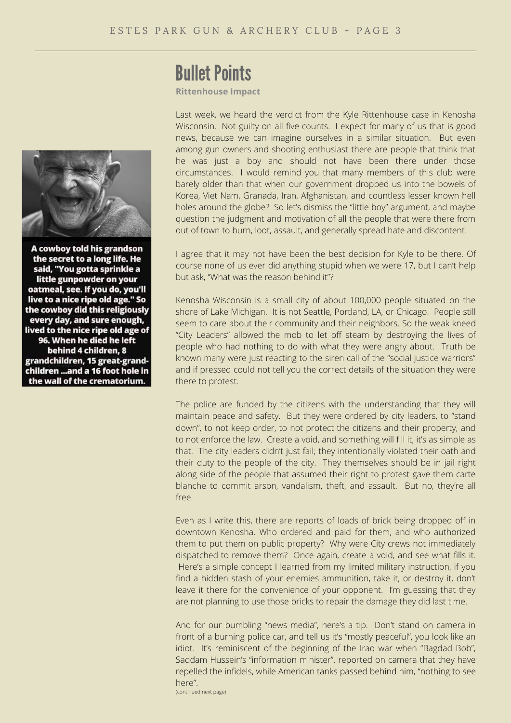### **Bullet Points**

**Rittenhouse Impact**

Last week, we heard the verdict from the Kyle Rittenhouse case in Kenosha Wisconsin. Not guilty on all five counts. I expect for many of us that is good news, because we can imagine ourselves in a similar situation. But even among gun owners and shooting enthusiast there are people that think that he was just a boy and should not have been there under those circumstances. I would remind you that many members of this club were barely older than that when our government dropped us into the bowels of Korea, Viet Nam, Granada, Iran, Afghanistan, and countless lesser known hell holes around the globe? So let's dismiss the "little boy" argument, and maybe question the judgment and motivation of all the people that were there from out of town to burn, loot, assault, and generally spread hate and discontent.

I agree that it may not have been the best decision for Kyle to be there. Of course none of us ever did anything stupid when we were 17, but I can't help but ask, "What was the reason behind it"?

Kenosha Wisconsin is a small city of about 100,000 people situated on the shore of Lake Michigan. It is not Seattle, Portland, LA, or Chicago. People still seem to care about their community and their neighbors. So the weak kneed "City Leaders" allowed the mob to let off steam by destroying the lives of people who had nothing to do with what they were angry about. Truth be known many were just reacting to the siren call of the "social justice warriors" and if pressed could not tell you the correct details of the situation they were there to protest.

The police are funded by the citizens with the understanding that they will maintain peace and safety. But they were ordered by city leaders, to "stand down", to not keep order, to not protect the citizens and their property, and to not enforce the law. Create a void, and something will fill it, it's as simple as that. The city leaders didn't just fail; they intentionally violated their oath and their duty to the people of the city. They themselves should be in jail right along side of the people that assumed their right to protest gave them carte blanche to commit arson, vandalism, theft, and assault. But no, they're all free.

Even as I write this, there are reports of loads of brick being dropped off in downtown Kenosha. Who ordered and paid for them, and who authorized them to put them on public property? Why were City crews not immediately dispatched to remove them? Once again, create a void, and see what fills it. Here's a simple concept I learned from my limited military instruction, if you find a hidden stash of your enemies ammunition, take it, or destroy it, don't leave it there for the convenience of your opponent. I'm guessing that they are not planning to use those bricks to repair the damage they did last time.

And for our bumbling "news media", here's a tip. Don't stand on camera in front of a burning police car, and tell us it's "mostly peaceful", you look like an idiot. It's reminiscent of the beginning of the Iraq war when "Bagdad Bob", Saddam Hussein's "information minister", reported on camera that they have repelled the infidels, while American tanks passed behind him, "nothing to see here".

(continued next page)



A cowboy told his grandson the secret to a long life. He said, "You gotta sprinkle a little gunpowder on your oatmeal, see. If you do, you'll live to a nice ripe old age." So the cowboy did this religiously every day, and sure enough, lived to the nice ripe old age of 96. When he died he left behind 4 children, 8 grandchildren, 15 great-grandchildren ...and a 16 foot hole in the wall of the crematorium.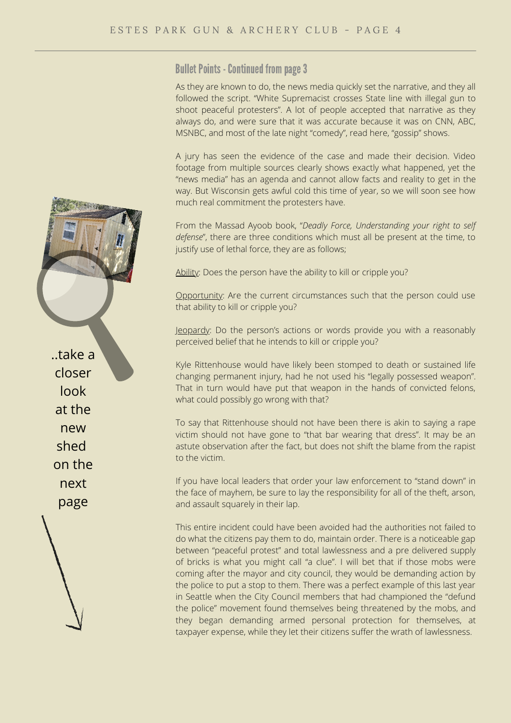**Bullet Points - Continued from page 3** 

As they are known to do, the news media quickly set the narrative, and they all followed the script. "White Supremacist crosses State line with illegal gun to shoot peaceful protesters". A lot of people accepted that narrative as they always do, and were sure that it was accurate because it was on CNN, ABC, MSNBC, and most of the late night "comedy", read here, "gossip" shows.

A jury has seen the evidence of the case and made their decision. Video footage from multiple sources clearly shows exactly what happened, yet the "news media" has an agenda and cannot allow facts and reality to get in the way. But Wisconsin gets awful cold this time of year, so we will soon see how much real commitment the protesters have.

From the Massad Ayoob book, "*Deadly Force, Understanding your right to self defense*", there are three conditions which must all be present at the time, to justify use of lethal force, they are as follows;

Ability: Does the person have the ability to kill or cripple you?

Opportunity: Are the current circumstances such that the person could use that ability to kill or cripple you?

Jeopardy: Do the person's actions or words provide you with a reasonably perceived belief that he intends to kill or cripple you?

Kyle Rittenhouse would have likely been stomped to death or sustained life changing permanent injury, had he not used his "legally possessed weapon". That in turn would have put that weapon in the hands of convicted felons, what could possibly go wrong with that?

To say that Rittenhouse should not have been there is akin to saying a rape victim should not have gone to "that bar wearing that dress". It may be an astute observation after the fact, but does not shift the blame from the rapist to the victim.

If you have local leaders that order your law enforcement to "stand down" in the face of mayhem, be sure to lay the responsibility for all of the theft, arson, and assault squarely in their lap.

This entire incident could have been avoided had the authorities not failed to do what the citizens pay them to do, maintain order. There is a noticeable gap between "peaceful protest" and total lawlessness and a pre delivered supply of bricks is what you might call "a clue". I will bet that if those mobs were coming after the mayor and city council, they would be demanding action by the police to put a stop to them. There was a perfect example of this last year in Seattle when the City Council members that had championed the "defund the police" movement found themselves being threatened by the mobs, and they began demanding armed personal protection for themselves, at taxpayer expense, while they let their citizens suffer the wrath of lawlessness.

..take a closer look at the new shed on the next page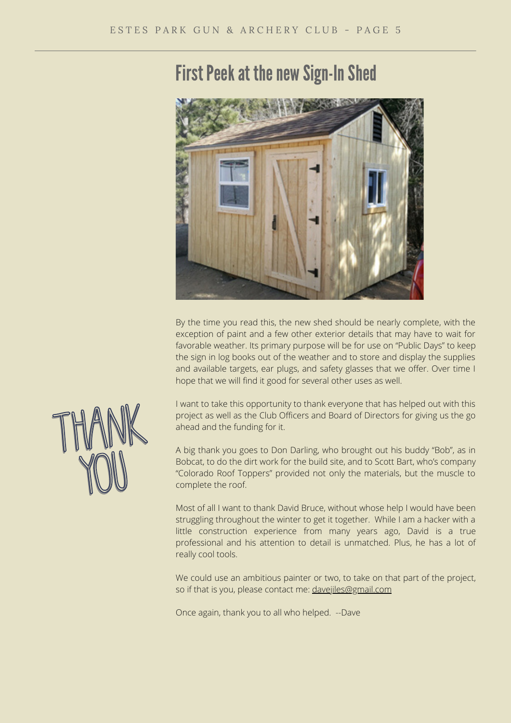# First Peek at the new Sign-In Shed



By the time you read this, the new shed should be nearly complete, with the exception of paint and a few other exterior details that may have to wait for favorable weather. Its primary purpose will be for use on "Public Days" to keep the sign in log books out of the weather and to store and display the supplies and available targets, ear plugs, and safety glasses that we offer. Over time I hope that we will find it good for several other uses as well.

I want to take this opportunity to thank everyone that has helped out with this project as well as the Club Officers and Board of Directors for giving us the go ahead and the funding for it.

A big thank you goes to Don Darling, who brought out his buddy "Bob", as in Bobcat, to do the dirt work for the build site, and to Scott Bart, who's company "Colorado Roof Toppers" provided not only the materials, but the muscle to complete the roof.

Most of all I want to thank David Bruce, without whose help I would have been struggling throughout the winter to get it together. While I am a hacker with a little construction experience from many years ago, David is a true professional and his attention to detail is unmatched. Plus, he has a lot of really cool tools.

We could use an ambitious painter or two, to take on that part of the project, so if that is you, please contact me: [davejiles@gmail.com](mailto:davejiles@gmail.com)

Once again, thank you to all who helped. --Dave